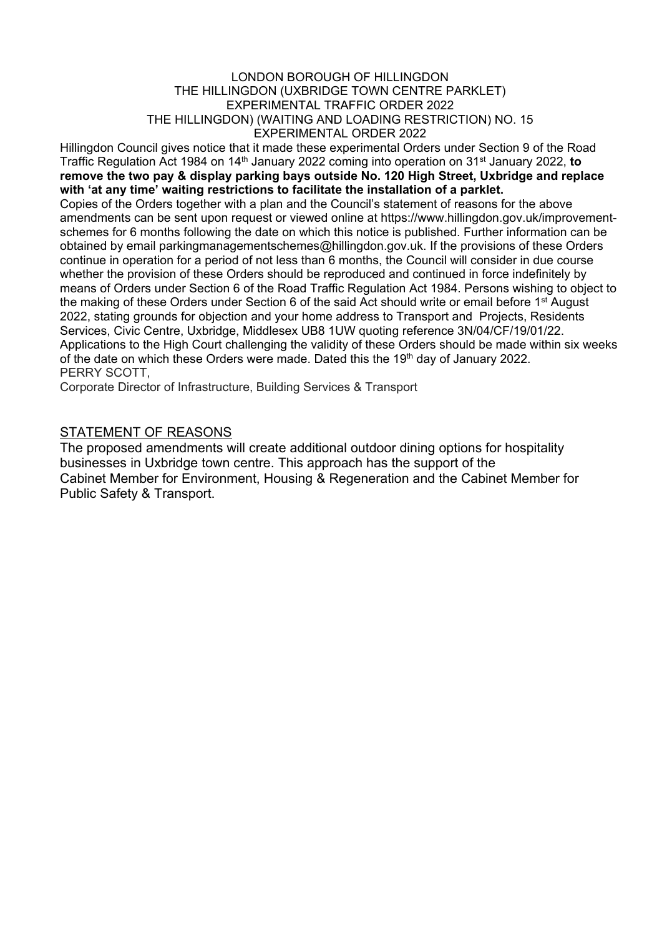#### LONDON BOROUGH OF HILLINGDON THE HILLINGDON (UXBRIDGE TOWN CENTRE PARKLET) EXPERIMENTAL TRAFFIC ORDER 2022 THE HILLINGDON) (WAITING AND LOADING RESTRICTION) NO. 15 EXPERIMENTAL ORDER 2022

Hillingdon Council gives notice that it made these experimental Orders under Section 9 of the Road Traffic Regulation Act 1984 on 14th January 2022 coming into operation on 31st January 2022, **to remove the two pay & display parking bays outside No. 120 High Street, Uxbridge and replace with 'at any time' waiting restrictions to facilitate the installation of a parklet.**  Copies of the Orders together with a plan and the Council's statement of reasons for the above amendments can be sent upon request or viewed online at https://www.hillingdon.gov.uk/improvementschemes for 6 months following the date on which this notice is published. Further information can be obtained by email parkingmanagementschemes@hillingdon.gov.uk. If the provisions of these Orders continue in operation for a period of not less than 6 months, the Council will consider in due course whether the provision of these Orders should be reproduced and continued in force indefinitely by means of Orders under Section 6 of the Road Traffic Regulation Act 1984. Persons wishing to object to the making of these Orders under Section 6 of the said Act should write or email before 1<sup>st</sup> August 2022, stating grounds for objection and your home address to Transport and Projects, Residents Services, Civic Centre, Uxbridge, Middlesex UB8 1UW quoting reference 3N/04/CF/19/01/22. Applications to the High Court challenging the validity of these Orders should be made within six weeks of the date on which these Orders were made. Dated this the 19<sup>th</sup> day of January 2022. PERRY SCOTT,

Corporate Director of Infrastructure, Building Services & Transport

#### **STATEMENT OF REASONS**

The proposed amendments will create additional outdoor dining options for hospitality businesses in Uxbridge town centre. This approach has the support of the Cabinet Member for Environment, Housing & Regeneration and the Cabinet Member for Public Safety & Transport.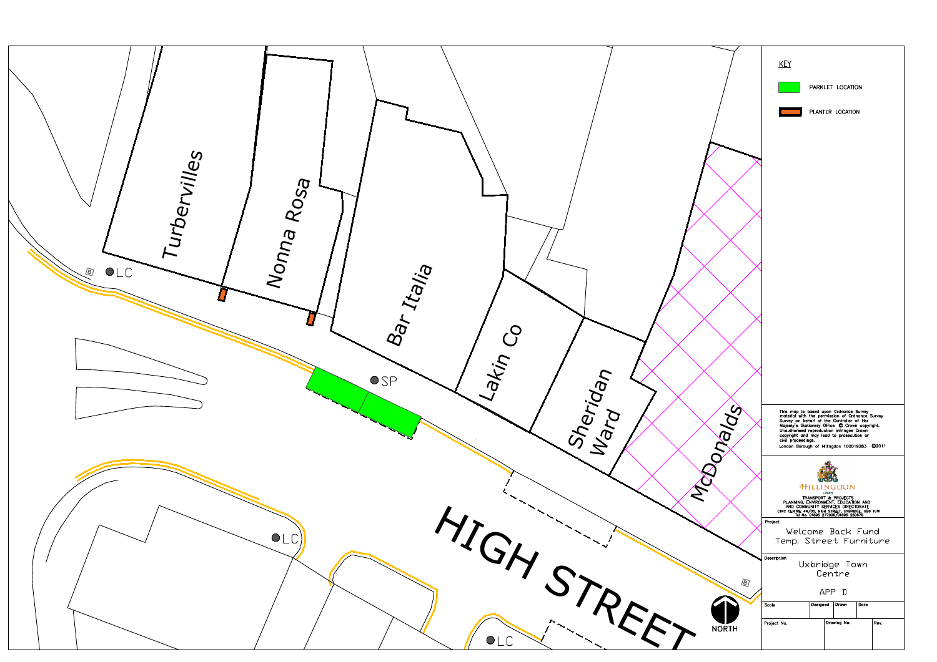

|              | <b>KEY</b><br>PARKLET LOCATION<br>PLANTER LOCATION                                                                                                                                                                                                                                                                                                                     |
|--------------|------------------------------------------------------------------------------------------------------------------------------------------------------------------------------------------------------------------------------------------------------------------------------------------------------------------------------------------------------------------------|
|              | This map is based upon Ordnance Survey<br>material with the permission of Ordnance Survey<br>Survey on behalf of the Controller of Her<br>Majesty's Stationery Office © Crown copyright.<br>Unauthorised reproduction infringes Crown<br>copyright and may lead to prosecution or<br>civil proceedings.<br>London Borough of Hillingdon 100019283<br>C <sub>2011</sub> |
|              | <b>HILLINGDON</b><br>LONDON<br>TRANSPORT & PROJECTS<br>PLANNING, ENVIRONMENT, EDUCATION AND<br>AND COMMUNITY SERVICES DIRECTORATE<br>CIVIC CENTRE 4W/05, HIGH STREET, UXBRIDGE, UB8 1UW<br>Tel No. 01895 277006/01895 250676                                                                                                                                           |
|              | Project<br>Welcome Back Fund<br>Temp. Street Furniture                                                                                                                                                                                                                                                                                                                 |
| 0            | Description<br>Uxbridge Town<br>Centre<br>APP D                                                                                                                                                                                                                                                                                                                        |
| <b>NORTH</b> | Designed<br>Drawn<br>Date<br>Scale<br>Drawing No.<br>Project No.<br>Rev.                                                                                                                                                                                                                                                                                               |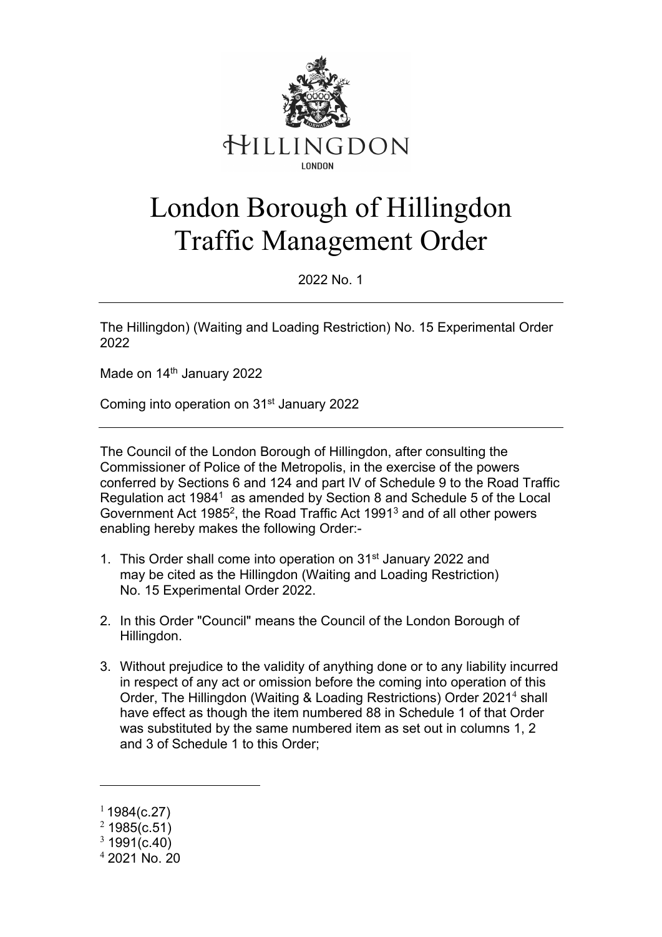

# London Borough of Hillingdon Traffic Management Order

2022 No. 1

The Hillingdon) (Waiting and Loading Restriction) No. 15 Experimental Order 2022

Made on 14<sup>th</sup> January 2022

Coming into operation on 31st January 2022

The Council of the London Borough of Hillingdon, after consulting the Commissioner of Police of the Metropolis, in the exercise of the powers conferred by Sections 6 and 124 and part IV of Schedule 9 to the Road Traffic Regulation act 1984<sup>1</sup> as amended by Section 8 and Schedule 5 of the Local Government Act 1985<sup>2</sup>, the Road Traffic Act 1991<sup>3</sup> and of all other powers enabling hereby makes the following Order:-

- 1. This Order shall come into operation on 31st January 2022 and may be cited as the Hillingdon (Waiting and Loading Restriction) No. 15 Experimental Order 2022.
- 2. In this Order "Council" means the Council of the London Borough of Hillingdon.
- 3. Without prejudice to the validity of anything done or to any liability incurred in respect of any act or omission before the coming into operation of this Order, The Hillingdon (Waiting & Loading Restrictions) Order 2021<sup>4</sup> shall have effect as though the item numbered 88 in Schedule 1 of that Order was substituted by the same numbered item as set out in columns 1, 2 and 3 of Schedule 1 to this Order;

 $11984(c.27)$ 

 $2$  1985(c.51)

 $3\,1991(c.40)$ 

 $42021$  No. 20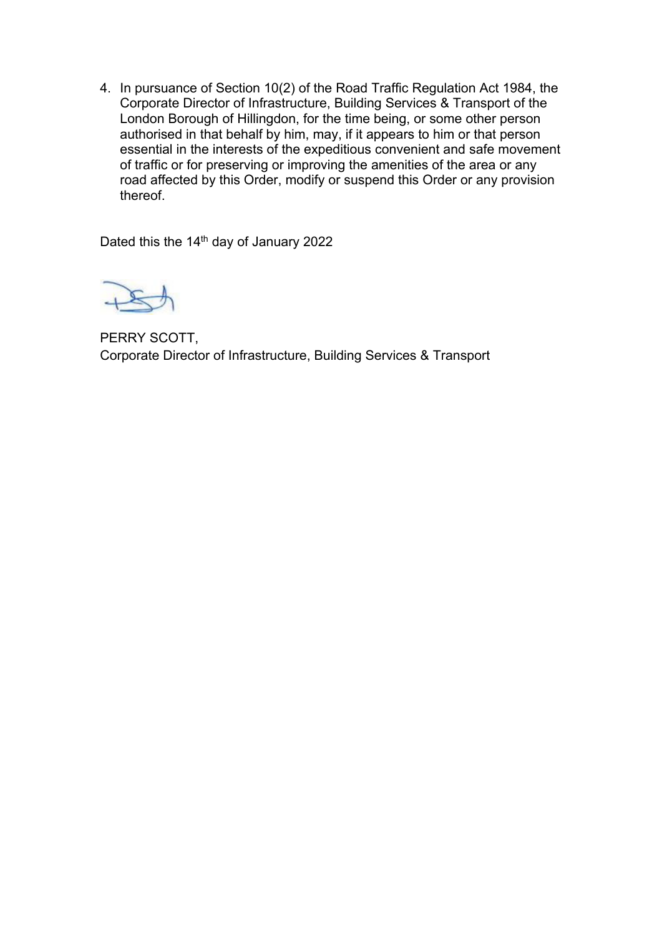4. In pursuance of Section 10(2) of the Road Traffic Regulation Act 1984, the Corporate Director of Infrastructure, Building Services & Transport of the London Borough of Hillingdon, for the time being, or some other person authorised in that behalf by him, may, if it appears to him or that person essential in the interests of the expeditious convenient and safe movement of traffic or for preserving or improving the amenities of the area or any road affected by this Order, modify or suspend this Order or any provision thereof.

Dated this the 14<sup>th</sup> day of January 2022



PERRY SCOTT, Corporate Director of Infrastructure, Building Services & Transport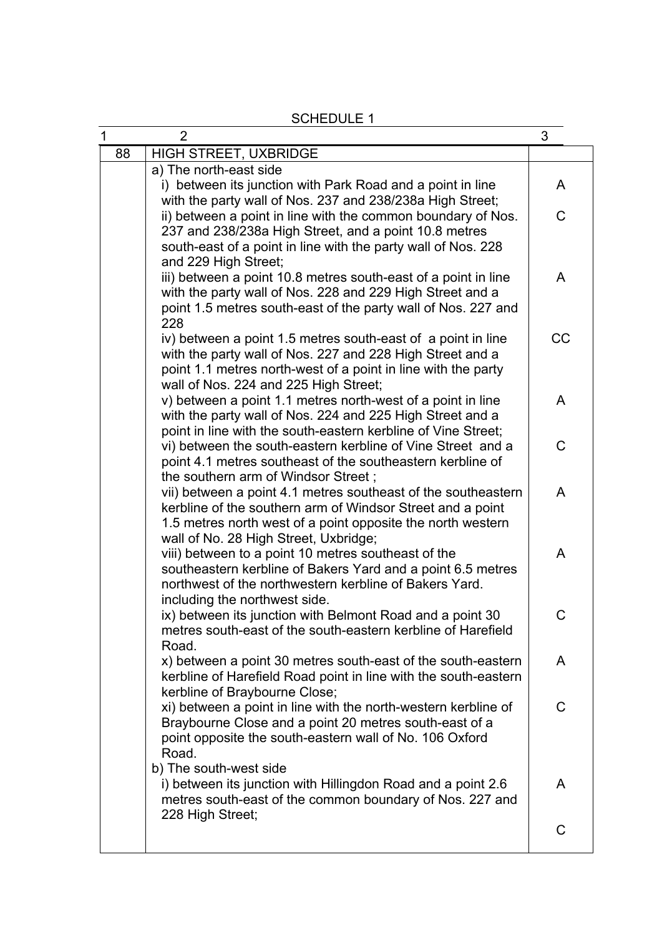$1$  2 3 88 | HIGH STREET, UXBRIDGE a) The north-east side i) between its junction with Park Road and a point in line with the party wall of Nos. 237 and 238/238a High Street; ii) between a point in line with the common boundary of Nos. 237 and 238/238a High Street, and a point 10.8 metres south-east of a point in line with the party wall of Nos. 228 and 229 High Street: iii) between a point 10.8 metres south-east of a point in line with the party wall of Nos. 228 and 229 High Street and a point 1.5 metres south-east of the party wall of Nos. 227 and 228 iv) between a point 1.5 metres south-east of a point in line with the party wall of Nos. 227 and 228 High Street and a point 1.1 metres north-west of a point in line with the party wall of Nos. 224 and 225 High Street; v) between a point 1.1 metres north-west of a point in line with the party wall of Nos. 224 and 225 High Street and a point in line with the south-eastern kerbline of Vine Street; vi) between the south-eastern kerbline of Vine Street and a point 4.1 metres southeast of the southeastern kerbline of the southern arm of Windsor Street ; vii) between a point 4.1 metres southeast of the southeastern kerbline of the southern arm of Windsor Street and a point 1.5 metres north west of a point opposite the north western wall of No. 28 High Street, Uxbridge; viii) between to a point 10 metres southeast of the southeastern kerbline of Bakers Yard and a point 6.5 metres northwest of the northwestern kerbline of Bakers Yard. including the northwest side. ix) between its junction with Belmont Road and a point 30 metres south-east of the south-eastern kerbline of Harefield Road. x) between a point 30 metres south-east of the south-eastern kerbline of Harefield Road point in line with the south-eastern kerbline of Braybourne Close; xi) between a point in line with the north-western kerbline of Braybourne Close and a point 20 metres south-east of a point opposite the south-eastern wall of No. 106 Oxford Road. b) The south-west side i) between its junction with Hillingdon Road and a point 2.6 metres south-east of the common boundary of Nos. 227 and 228 High Street; A  $\overline{C}$ A CC A  $\overline{C}$ A A C A  $\mathsf{C}$ A  $\overline{C}$ 

SCHEDULE 1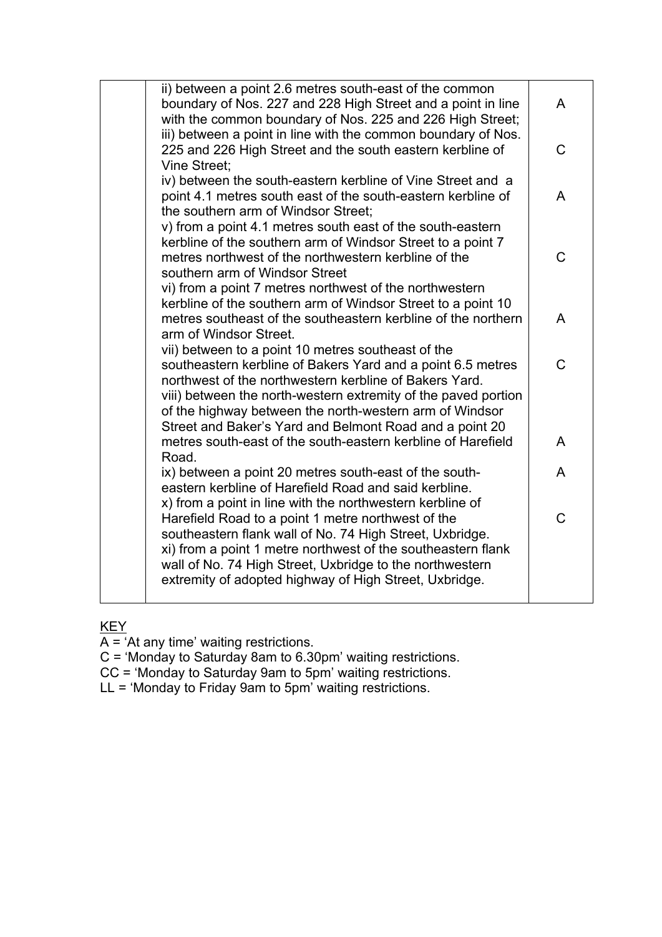| ii) between a point 2.6 metres south-east of the common<br>boundary of Nos. 227 and 228 High Street and a point in line<br>with the common boundary of Nos. 225 and 226 High Street;                                                                                                                                                                                | A |
|---------------------------------------------------------------------------------------------------------------------------------------------------------------------------------------------------------------------------------------------------------------------------------------------------------------------------------------------------------------------|---|
| iii) between a point in line with the common boundary of Nos.<br>225 and 226 High Street and the south eastern kerbline of<br>Vine Street:                                                                                                                                                                                                                          | C |
| iv) between the south-eastern kerbline of Vine Street and a<br>point 4.1 metres south east of the south-eastern kerbline of<br>the southern arm of Windsor Street;                                                                                                                                                                                                  | A |
| v) from a point 4.1 metres south east of the south-eastern<br>kerbline of the southern arm of Windsor Street to a point 7<br>metres northwest of the northwestern kerbline of the<br>southern arm of Windsor Street                                                                                                                                                 | C |
| vi) from a point 7 metres northwest of the northwestern<br>kerbline of the southern arm of Windsor Street to a point 10<br>metres southeast of the southeastern kerbline of the northern<br>arm of Windsor Street.                                                                                                                                                  | A |
| vii) between to a point 10 metres southeast of the<br>southeastern kerbline of Bakers Yard and a point 6.5 metres<br>northwest of the northwestern kerbline of Bakers Yard.<br>viii) between the north-western extremity of the paved portion<br>of the highway between the north-western arm of Windsor<br>Street and Baker's Yard and Belmont Road and a point 20 | Ć |
| metres south-east of the south-eastern kerbline of Harefield<br>Road.                                                                                                                                                                                                                                                                                               | A |
| ix) between a point 20 metres south-east of the south-<br>eastern kerbline of Harefield Road and said kerbline.<br>x) from a point in line with the northwestern kerbline of                                                                                                                                                                                        | A |
| Harefield Road to a point 1 metre northwest of the<br>southeastern flank wall of No. 74 High Street, Uxbridge.<br>xi) from a point 1 metre northwest of the southeastern flank<br>wall of No. 74 High Street, Uxbridge to the northwestern<br>extremity of adopted highway of High Street, Uxbridge.                                                                | Ć |

### KEY

A = 'At any time' waiting restrictions.

C = 'Monday to Saturday 8am to 6.30pm' waiting restrictions.

CC = 'Monday to Saturday 9am to 5pm' waiting restrictions.

LL = 'Monday to Friday 9am to 5pm' waiting restrictions.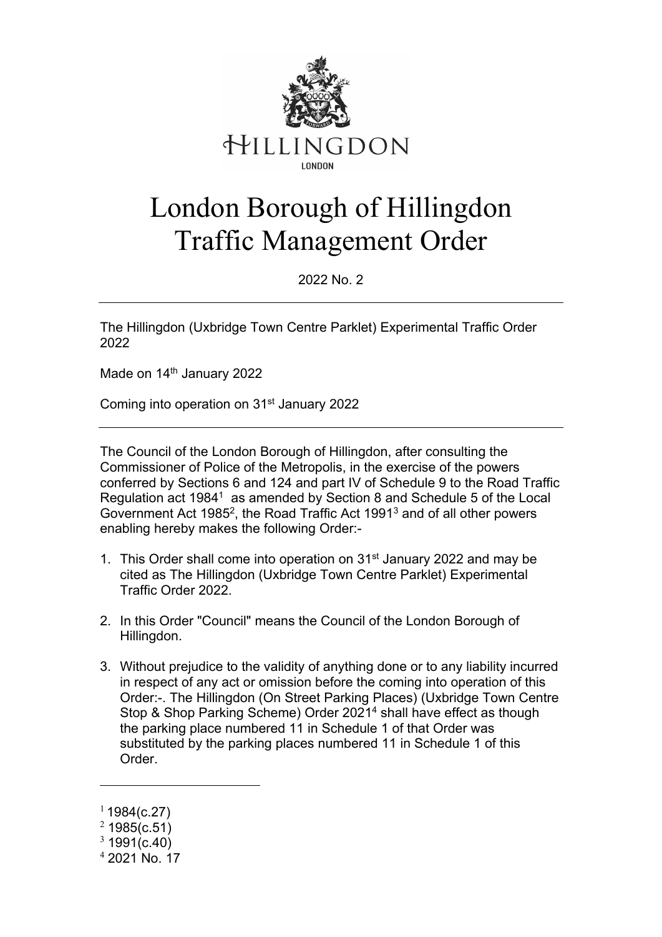

# London Borough of Hillingdon Traffic Management Order

2022 No. 2

The Hillingdon (Uxbridge Town Centre Parklet) Experimental Traffic Order 2022

Made on 14<sup>th</sup> January 2022

Coming into operation on 31st January 2022

The Council of the London Borough of Hillingdon, after consulting the Commissioner of Police of the Metropolis, in the exercise of the powers conferred by Sections 6 and 124 and part IV of Schedule 9 to the Road Traffic Regulation act 1984<sup>1</sup> as amended by Section 8 and Schedule 5 of the Local Government Act 1985<sup>2</sup>, the Road Traffic Act 1991<sup>3</sup> and of all other powers enabling hereby makes the following Order:-

- 1. This Order shall come into operation on 31<sup>st</sup> January 2022 and may be cited as The Hillingdon (Uxbridge Town Centre Parklet) Experimental Traffic Order 2022.
- 2. In this Order "Council" means the Council of the London Borough of Hillingdon.
- 3. Without prejudice to the validity of anything done or to any liability incurred in respect of any act or omission before the coming into operation of this Order:-. The Hillingdon (On Street Parking Places) (Uxbridge Town Centre Stop & Shop Parking Scheme) Order 20214 shall have effect as though the parking place numbered 11 in Schedule 1 of that Order was substituted by the parking places numbered 11 in Schedule 1 of this Order.

 $11984(c.27)$ 

 $2$  1985(c.51)

 $3\,1991(c.40)$ 

<sup>4</sup> 2021 No. 17